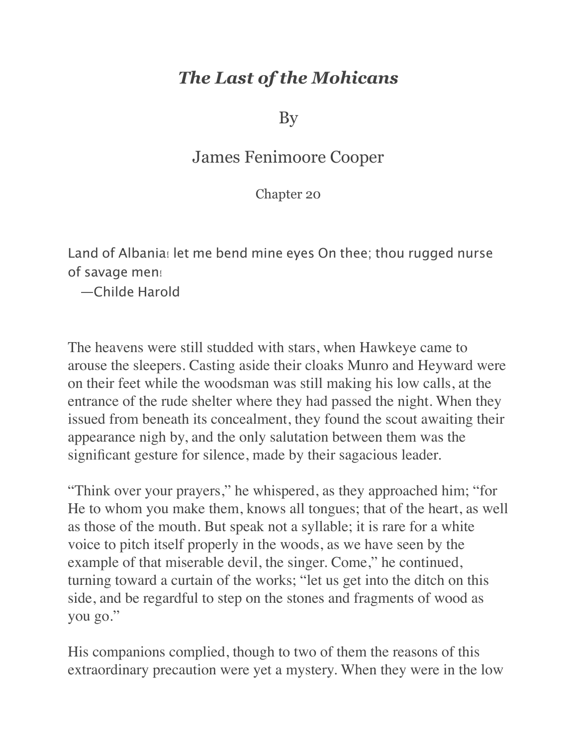## *The Last of the Mohicans*

By

## James Fenimoore Cooper

Chapter 20

Land of Albania! let me bend mine eyes On thee; thou rugged nurse of savage men!

—Childe Harold

The heavens were still studded with stars, when Hawkeye came to arouse the sleepers. Casting aside their cloaks Munro and Heyward were on their feet while the woodsman was still making his low calls, at the entrance of the rude shelter where they had passed the night. When they issued from beneath its concealment, they found the scout awaiting their appearance nigh by, and the only salutation between them was the significant gesture for silence, made by their sagacious leader.

"Think over your prayers," he whispered, as they approached him; "for He to whom you make them, knows all tongues; that of the heart, as well as those of the mouth. But speak not a syllable; it is rare for a white voice to pitch itself properly in the woods, as we have seen by the example of that miserable devil, the singer. Come," he continued, turning toward a curtain of the works; "let us get into the ditch on this side, and be regardful to step on the stones and fragments of wood as you go."

His companions complied, though to two of them the reasons of this extraordinary precaution were yet a mystery. When they were in the low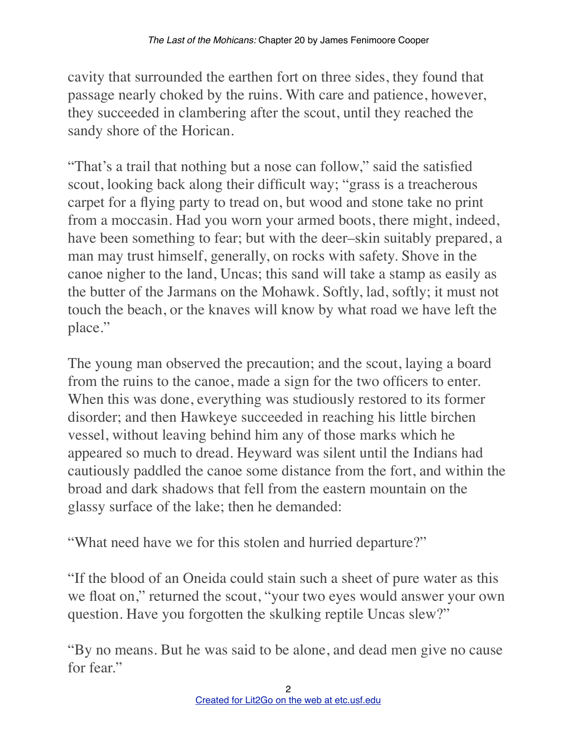cavity that surrounded the earthen fort on three sides, they found that passage nearly choked by the ruins. With care and patience, however, they succeeded in clambering after the scout, until they reached the sandy shore of the Horican.

"That's a trail that nothing but a nose can follow," said the satisfied scout, looking back along their difficult way; "grass is a treacherous carpet for a flying party to tread on, but wood and stone take no print from a moccasin. Had you worn your armed boots, there might, indeed, have been something to fear; but with the deer–skin suitably prepared, a man may trust himself, generally, on rocks with safety. Shove in the canoe nigher to the land, Uncas; this sand will take a stamp as easily as the butter of the Jarmans on the Mohawk. Softly, lad, softly; it must not touch the beach, or the knaves will know by what road we have left the place."

The young man observed the precaution; and the scout, laying a board from the ruins to the canoe, made a sign for the two officers to enter. When this was done, everything was studiously restored to its former disorder; and then Hawkeye succeeded in reaching his little birchen vessel, without leaving behind him any of those marks which he appeared so much to dread. Heyward was silent until the Indians had cautiously paddled the canoe some distance from the fort, and within the broad and dark shadows that fell from the eastern mountain on the glassy surface of the lake; then he demanded:

"What need have we for this stolen and hurried departure?"

"If the blood of an Oneida could stain such a sheet of pure water as this we float on," returned the scout, "your two eyes would answer your own question. Have you forgotten the skulking reptile Uncas slew?"

"By no means. But he was said to be alone, and dead men give no cause for fear."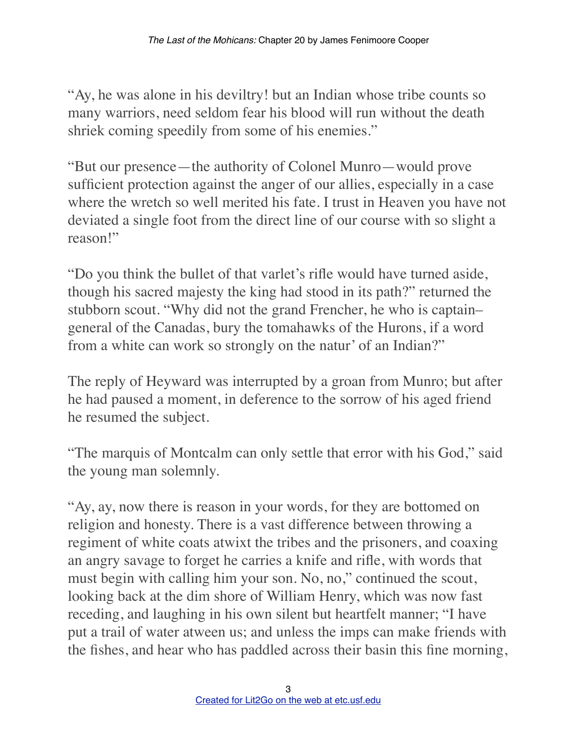"Ay, he was alone in his deviltry! but an Indian whose tribe counts so many warriors, need seldom fear his blood will run without the death shriek coming speedily from some of his enemies."

"But our presence—the authority of Colonel Munro—would prove sufficient protection against the anger of our allies, especially in a case where the wretch so well merited his fate. I trust in Heaven you have not deviated a single foot from the direct line of our course with so slight a reason!"

"Do you think the bullet of that varlet's rifle would have turned aside, though his sacred majesty the king had stood in its path?" returned the stubborn scout. "Why did not the grand Frencher, he who is captain– general of the Canadas, bury the tomahawks of the Hurons, if a word from a white can work so strongly on the natur' of an Indian?"

The reply of Heyward was interrupted by a groan from Munro; but after he had paused a moment, in deference to the sorrow of his aged friend he resumed the subject.

"The marquis of Montcalm can only settle that error with his God," said the young man solemnly.

"Ay, ay, now there is reason in your words, for they are bottomed on religion and honesty. There is a vast difference between throwing a regiment of white coats atwixt the tribes and the prisoners, and coaxing an angry savage to forget he carries a knife and rifle, with words that must begin with calling him your son. No, no," continued the scout, looking back at the dim shore of William Henry, which was now fast receding, and laughing in his own silent but heartfelt manner; "I have put a trail of water atween us; and unless the imps can make friends with the fishes, and hear who has paddled across their basin this fine morning,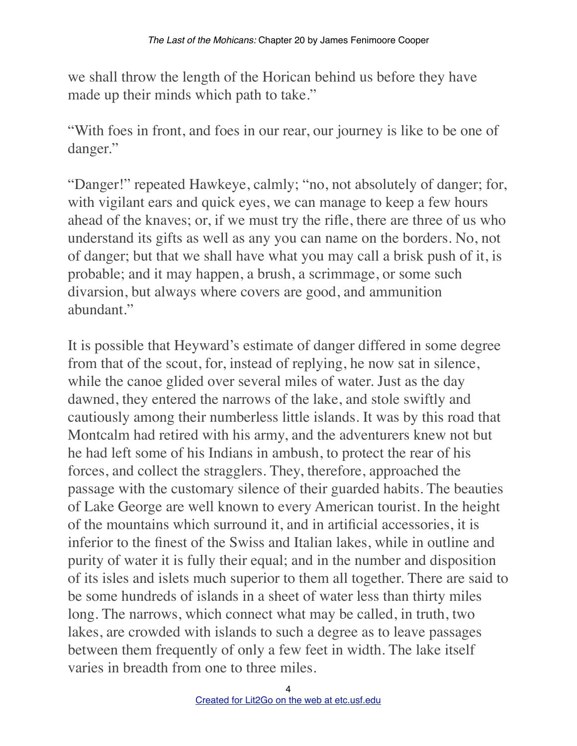we shall throw the length of the Horican behind us before they have made up their minds which path to take."

"With foes in front, and foes in our rear, our journey is like to be one of danger."

"Danger!" repeated Hawkeye, calmly; "no, not absolutely of danger; for, with vigilant ears and quick eyes, we can manage to keep a few hours ahead of the knaves; or, if we must try the rifle, there are three of us who understand its gifts as well as any you can name on the borders. No, not of danger; but that we shall have what you may call a brisk push of it, is probable; and it may happen, a brush, a scrimmage, or some such divarsion, but always where covers are good, and ammunition abundant."

It is possible that Heyward's estimate of danger differed in some degree from that of the scout, for, instead of replying, he now sat in silence, while the canoe glided over several miles of water. Just as the day dawned, they entered the narrows of the lake, and stole swiftly and cautiously among their numberless little islands. It was by this road that Montcalm had retired with his army, and the adventurers knew not but he had left some of his Indians in ambush, to protect the rear of his forces, and collect the stragglers. They, therefore, approached the passage with the customary silence of their guarded habits. The beauties of Lake George are well known to every American tourist. In the height of the mountains which surround it, and in artificial accessories, it is inferior to the finest of the Swiss and Italian lakes, while in outline and purity of water it is fully their equal; and in the number and disposition of its isles and islets much superior to them all together. There are said to be some hundreds of islands in a sheet of water less than thirty miles long. The narrows, which connect what may be called, in truth, two lakes, are crowded with islands to such a degree as to leave passages between them frequently of only a few feet in width. The lake itself varies in breadth from one to three miles.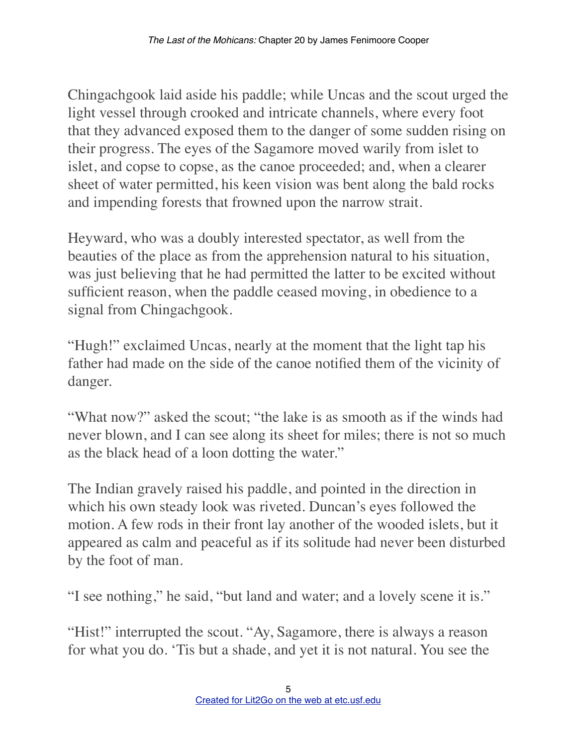Chingachgook laid aside his paddle; while Uncas and the scout urged the light vessel through crooked and intricate channels, where every foot that they advanced exposed them to the danger of some sudden rising on their progress. The eyes of the Sagamore moved warily from islet to islet, and copse to copse, as the canoe proceeded; and, when a clearer sheet of water permitted, his keen vision was bent along the bald rocks and impending forests that frowned upon the narrow strait.

Heyward, who was a doubly interested spectator, as well from the beauties of the place as from the apprehension natural to his situation, was just believing that he had permitted the latter to be excited without sufficient reason, when the paddle ceased moving, in obedience to a signal from Chingachgook.

"Hugh!" exclaimed Uncas, nearly at the moment that the light tap his father had made on the side of the canoe notified them of the vicinity of danger.

"What now?" asked the scout; "the lake is as smooth as if the winds had never blown, and I can see along its sheet for miles; there is not so much as the black head of a loon dotting the water."

The Indian gravely raised his paddle, and pointed in the direction in which his own steady look was riveted. Duncan's eyes followed the motion. A few rods in their front lay another of the wooded islets, but it appeared as calm and peaceful as if its solitude had never been disturbed by the foot of man.

"I see nothing," he said, "but land and water; and a lovely scene it is."

"Hist!" interrupted the scout. "Ay, Sagamore, there is always a reason for what you do. 'Tis but a shade, and yet it is not natural. You see the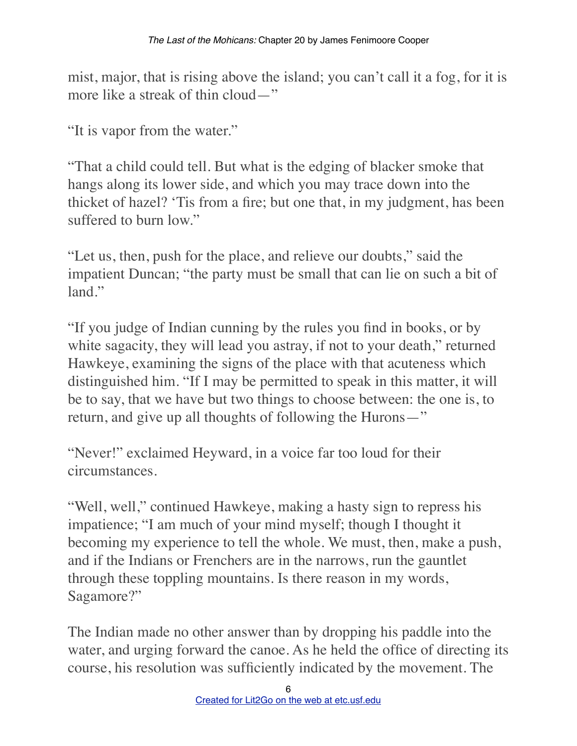mist, major, that is rising above the island; you can't call it a fog, for it is more like a streak of thin cloud—"

"It is vapor from the water."

"That a child could tell. But what is the edging of blacker smoke that hangs along its lower side, and which you may trace down into the thicket of hazel? 'Tis from a fire; but one that, in my judgment, has been suffered to burn low."

"Let us, then, push for the place, and relieve our doubts," said the impatient Duncan; "the party must be small that can lie on such a bit of land."

"If you judge of Indian cunning by the rules you find in books, or by white sagacity, they will lead you astray, if not to your death," returned Hawkeye, examining the signs of the place with that acuteness which distinguished him. "If I may be permitted to speak in this matter, it will be to say, that we have but two things to choose between: the one is, to return, and give up all thoughts of following the Hurons—"

"Never!" exclaimed Heyward, in a voice far too loud for their circumstances.

"Well, well," continued Hawkeye, making a hasty sign to repress his impatience; "I am much of your mind myself; though I thought it becoming my experience to tell the whole. We must, then, make a push, and if the Indians or Frenchers are in the narrows, run the gauntlet through these toppling mountains. Is there reason in my words, Sagamore?"

The Indian made no other answer than by dropping his paddle into the water, and urging forward the canoe. As he held the office of directing its course, his resolution was sufficiently indicated by the movement. The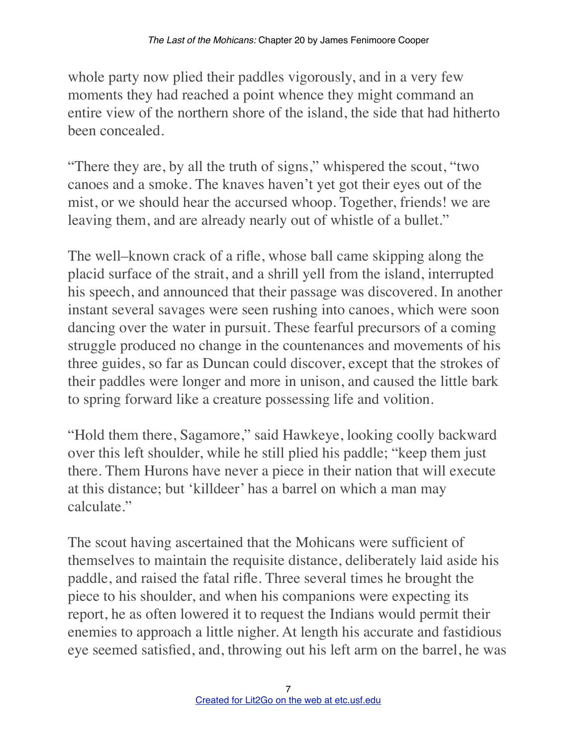whole party now plied their paddles vigorously, and in a very few moments they had reached a point whence they might command an entire view of the northern shore of the island, the side that had hitherto been concealed.

"There they are, by all the truth of signs," whispered the scout, "two canoes and a smoke. The knaves haven't yet got their eyes out of the mist, or we should hear the accursed whoop. Together, friends! we are leaving them, and are already nearly out of whistle of a bullet."

The well–known crack of a rifle, whose ball came skipping along the placid surface of the strait, and a shrill yell from the island, interrupted his speech, and announced that their passage was discovered. In another instant several savages were seen rushing into canoes, which were soon dancing over the water in pursuit. These fearful precursors of a coming struggle produced no change in the countenances and movements of his three guides, so far as Duncan could discover, except that the strokes of their paddles were longer and more in unison, and caused the little bark to spring forward like a creature possessing life and volition.

"Hold them there, Sagamore," said Hawkeye, looking coolly backward over this left shoulder, while he still plied his paddle; "keep them just there. Them Hurons have never a piece in their nation that will execute at this distance; but 'killdeer' has a barrel on which a man may calculate."

The scout having ascertained that the Mohicans were sufficient of themselves to maintain the requisite distance, deliberately laid aside his paddle, and raised the fatal rifle. Three several times he brought the piece to his shoulder, and when his companions were expecting its report, he as often lowered it to request the Indians would permit their enemies to approach a little nigher. At length his accurate and fastidious eye seemed satisfied, and, throwing out his left arm on the barrel, he was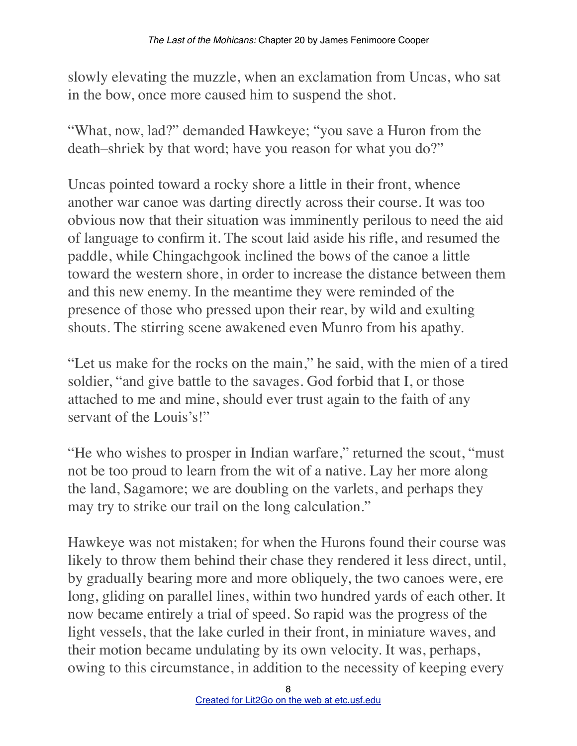slowly elevating the muzzle, when an exclamation from Uncas, who sat in the bow, once more caused him to suspend the shot.

"What, now, lad?" demanded Hawkeye; "you save a Huron from the death–shriek by that word; have you reason for what you do?"

Uncas pointed toward a rocky shore a little in their front, whence another war canoe was darting directly across their course. It was too obvious now that their situation was imminently perilous to need the aid of language to confirm it. The scout laid aside his rifle, and resumed the paddle, while Chingachgook inclined the bows of the canoe a little toward the western shore, in order to increase the distance between them and this new enemy. In the meantime they were reminded of the presence of those who pressed upon their rear, by wild and exulting shouts. The stirring scene awakened even Munro from his apathy.

"Let us make for the rocks on the main," he said, with the mien of a tired soldier, "and give battle to the savages. God forbid that I, or those attached to me and mine, should ever trust again to the faith of any servant of the Louis's!"

"He who wishes to prosper in Indian warfare," returned the scout, "must not be too proud to learn from the wit of a native. Lay her more along the land, Sagamore; we are doubling on the varlets, and perhaps they may try to strike our trail on the long calculation."

Hawkeye was not mistaken; for when the Hurons found their course was likely to throw them behind their chase they rendered it less direct, until, by gradually bearing more and more obliquely, the two canoes were, ere long, gliding on parallel lines, within two hundred yards of each other. It now became entirely a trial of speed. So rapid was the progress of the light vessels, that the lake curled in their front, in miniature waves, and their motion became undulating by its own velocity. It was, perhaps, owing to this circumstance, in addition to the necessity of keeping every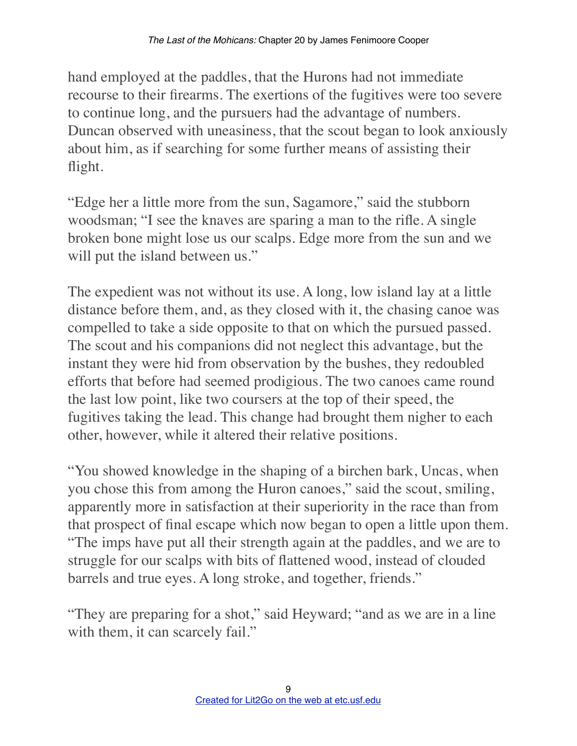hand employed at the paddles, that the Hurons had not immediate recourse to their firearms. The exertions of the fugitives were too severe to continue long, and the pursuers had the advantage of numbers. Duncan observed with uneasiness, that the scout began to look anxiously about him, as if searching for some further means of assisting their flight.

"Edge her a little more from the sun, Sagamore," said the stubborn woodsman; "I see the knaves are sparing a man to the rifle. A single broken bone might lose us our scalps. Edge more from the sun and we will put the island between us."

The expedient was not without its use. A long, low island lay at a little distance before them, and, as they closed with it, the chasing canoe was compelled to take a side opposite to that on which the pursued passed. The scout and his companions did not neglect this advantage, but the instant they were hid from observation by the bushes, they redoubled efforts that before had seemed prodigious. The two canoes came round the last low point, like two coursers at the top of their speed, the fugitives taking the lead. This change had brought them nigher to each other, however, while it altered their relative positions.

"You showed knowledge in the shaping of a birchen bark, Uncas, when you chose this from among the Huron canoes," said the scout, smiling, apparently more in satisfaction at their superiority in the race than from that prospect of final escape which now began to open a little upon them. "The imps have put all their strength again at the paddles, and we are to struggle for our scalps with bits of flattened wood, instead of clouded barrels and true eyes. A long stroke, and together, friends."

"They are preparing for a shot," said Heyward; "and as we are in a line with them, it can scarcely fail."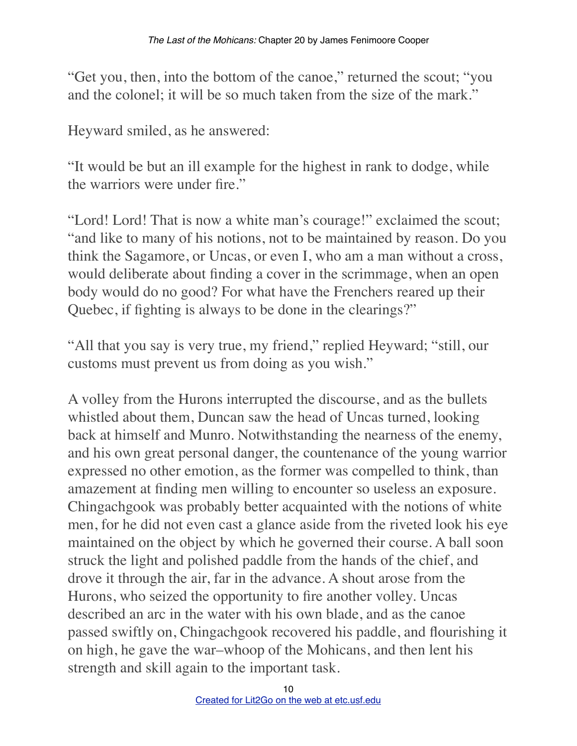"Get you, then, into the bottom of the canoe," returned the scout; "you and the colonel; it will be so much taken from the size of the mark."

Heyward smiled, as he answered:

"It would be but an ill example for the highest in rank to dodge, while the warriors were under fire."

"Lord! Lord! That is now a white man's courage!" exclaimed the scout; "and like to many of his notions, not to be maintained by reason. Do you think the Sagamore, or Uncas, or even I, who am a man without a cross, would deliberate about finding a cover in the scrimmage, when an open body would do no good? For what have the Frenchers reared up their Quebec, if fighting is always to be done in the clearings?"

"All that you say is very true, my friend," replied Heyward; "still, our customs must prevent us from doing as you wish."

A volley from the Hurons interrupted the discourse, and as the bullets whistled about them, Duncan saw the head of Uncas turned, looking back at himself and Munro. Notwithstanding the nearness of the enemy, and his own great personal danger, the countenance of the young warrior expressed no other emotion, as the former was compelled to think, than amazement at finding men willing to encounter so useless an exposure. Chingachgook was probably better acquainted with the notions of white men, for he did not even cast a glance aside from the riveted look his eye maintained on the object by which he governed their course. A ball soon struck the light and polished paddle from the hands of the chief, and drove it through the air, far in the advance. A shout arose from the Hurons, who seized the opportunity to fire another volley. Uncas described an arc in the water with his own blade, and as the canoe passed swiftly on, Chingachgook recovered his paddle, and flourishing it on high, he gave the war–whoop of the Mohicans, and then lent his strength and skill again to the important task.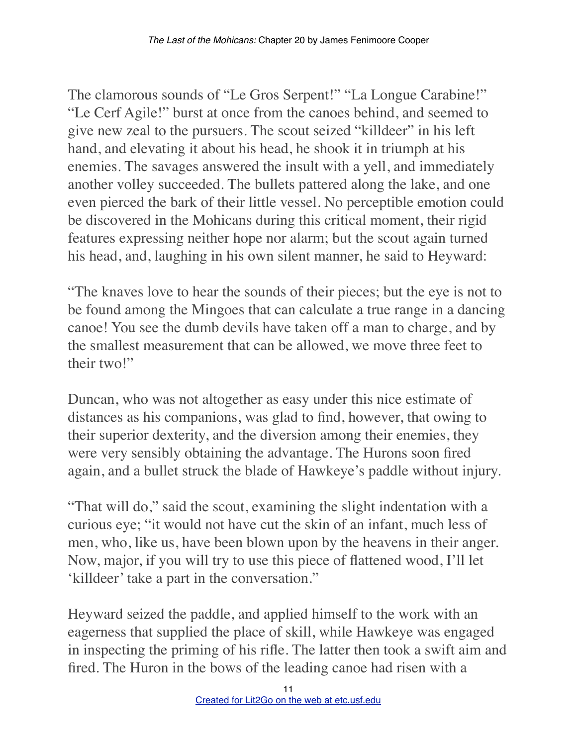The clamorous sounds of "Le Gros Serpent!" "La Longue Carabine!" "Le Cerf Agile!" burst at once from the canoes behind, and seemed to give new zeal to the pursuers. The scout seized "killdeer" in his left hand, and elevating it about his head, he shook it in triumph at his enemies. The savages answered the insult with a yell, and immediately another volley succeeded. The bullets pattered along the lake, and one even pierced the bark of their little vessel. No perceptible emotion could be discovered in the Mohicans during this critical moment, their rigid features expressing neither hope nor alarm; but the scout again turned his head, and, laughing in his own silent manner, he said to Heyward:

"The knaves love to hear the sounds of their pieces; but the eye is not to be found among the Mingoes that can calculate a true range in a dancing canoe! You see the dumb devils have taken off a man to charge, and by the smallest measurement that can be allowed, we move three feet to their two!"

Duncan, who was not altogether as easy under this nice estimate of distances as his companions, was glad to find, however, that owing to their superior dexterity, and the diversion among their enemies, they were very sensibly obtaining the advantage. The Hurons soon fired again, and a bullet struck the blade of Hawkeye's paddle without injury.

"That will do," said the scout, examining the slight indentation with a curious eye; "it would not have cut the skin of an infant, much less of men, who, like us, have been blown upon by the heavens in their anger. Now, major, if you will try to use this piece of flattened wood, I'll let 'killdeer' take a part in the conversation."

Heyward seized the paddle, and applied himself to the work with an eagerness that supplied the place of skill, while Hawkeye was engaged in inspecting the priming of his rifle. The latter then took a swift aim and fired. The Huron in the bows of the leading canoe had risen with a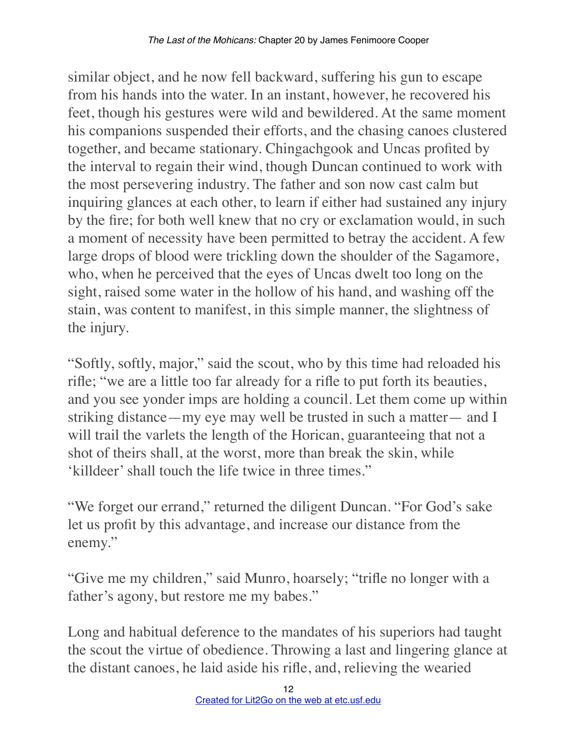similar object, and he now fell backward, suffering his gun to escape from his hands into the water. In an instant, however, he recovered his feet, though his gestures were wild and bewildered. At the same moment his companions suspended their efforts, and the chasing canoes clustered together, and became stationary. Chingachgook and Uncas profited by the interval to regain their wind, though Duncan continued to work with the most persevering industry. The father and son now cast calm but inquiring glances at each other, to learn if either had sustained any injury by the fire; for both well knew that no cry or exclamation would, in such a moment of necessity have been permitted to betray the accident. A few large drops of blood were trickling down the shoulder of the Sagamore, who, when he perceived that the eyes of Uncas dwelt too long on the sight, raised some water in the hollow of his hand, and washing off the stain, was content to manifest, in this simple manner, the slightness of the injury.

"Softly, softly, major," said the scout, who by this time had reloaded his rifle; "we are a little too far already for a rifle to put forth its beauties, and you see yonder imps are holding a council. Let them come up within striking distance—my eye may well be trusted in such a matter— and I will trail the varlets the length of the Horican, guaranteeing that not a shot of theirs shall, at the worst, more than break the skin, while 'killdeer' shall touch the life twice in three times."

"We forget our errand," returned the diligent Duncan. "For God's sake let us profit by this advantage, and increase our distance from the enemy."

"Give me my children," said Munro, hoarsely; "trifle no longer with a father's agony, but restore me my babes."

Long and habitual deference to the mandates of his superiors had taught the scout the virtue of obedience. Throwing a last and lingering glance at the distant canoes, he laid aside his rifle, and, relieving the wearied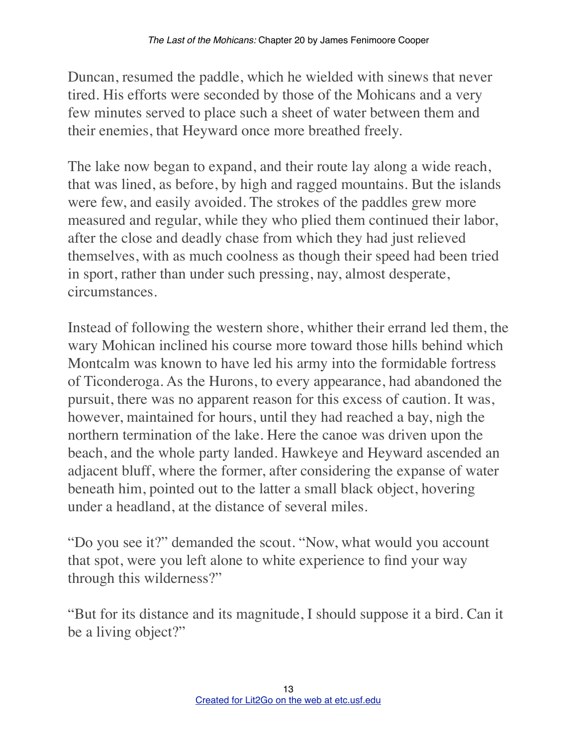Duncan, resumed the paddle, which he wielded with sinews that never tired. His efforts were seconded by those of the Mohicans and a very few minutes served to place such a sheet of water between them and their enemies, that Heyward once more breathed freely.

The lake now began to expand, and their route lay along a wide reach, that was lined, as before, by high and ragged mountains. But the islands were few, and easily avoided. The strokes of the paddles grew more measured and regular, while they who plied them continued their labor, after the close and deadly chase from which they had just relieved themselves, with as much coolness as though their speed had been tried in sport, rather than under such pressing, nay, almost desperate, circumstances.

Instead of following the western shore, whither their errand led them, the wary Mohican inclined his course more toward those hills behind which Montcalm was known to have led his army into the formidable fortress of Ticonderoga. As the Hurons, to every appearance, had abandoned the pursuit, there was no apparent reason for this excess of caution. It was, however, maintained for hours, until they had reached a bay, nigh the northern termination of the lake. Here the canoe was driven upon the beach, and the whole party landed. Hawkeye and Heyward ascended an adjacent bluff, where the former, after considering the expanse of water beneath him, pointed out to the latter a small black object, hovering under a headland, at the distance of several miles.

"Do you see it?" demanded the scout. "Now, what would you account that spot, were you left alone to white experience to find your way through this wilderness?"

"But for its distance and its magnitude, I should suppose it a bird. Can it be a living object?"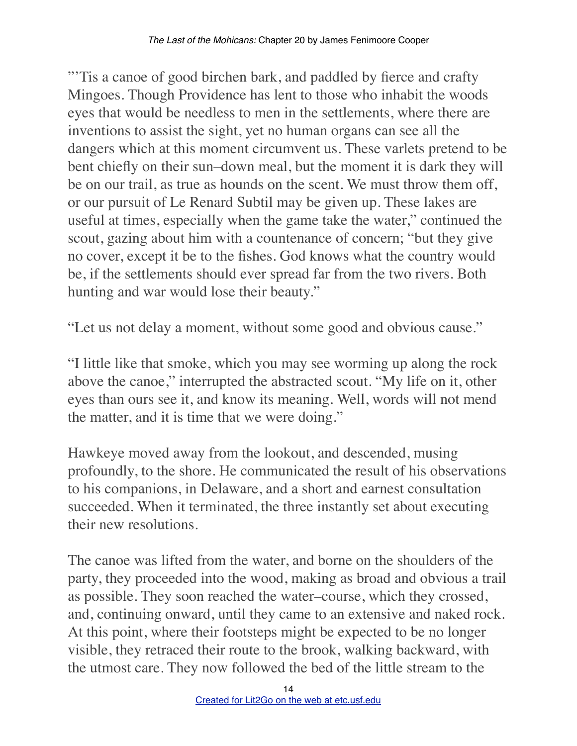"'Tis a canoe of good birchen bark, and paddled by fierce and crafty Mingoes. Though Providence has lent to those who inhabit the woods eyes that would be needless to men in the settlements, where there are inventions to assist the sight, yet no human organs can see all the dangers which at this moment circumvent us. These varlets pretend to be bent chiefly on their sun–down meal, but the moment it is dark they will be on our trail, as true as hounds on the scent. We must throw them off, or our pursuit of Le Renard Subtil may be given up. These lakes are useful at times, especially when the game take the water," continued the scout, gazing about him with a countenance of concern; "but they give no cover, except it be to the fishes. God knows what the country would be, if the settlements should ever spread far from the two rivers. Both hunting and war would lose their beauty."

"Let us not delay a moment, without some good and obvious cause."

"I little like that smoke, which you may see worming up along the rock above the canoe," interrupted the abstracted scout. "My life on it, other eyes than ours see it, and know its meaning. Well, words will not mend the matter, and it is time that we were doing."

Hawkeye moved away from the lookout, and descended, musing profoundly, to the shore. He communicated the result of his observations to his companions, in Delaware, and a short and earnest consultation succeeded. When it terminated, the three instantly set about executing their new resolutions.

The canoe was lifted from the water, and borne on the shoulders of the party, they proceeded into the wood, making as broad and obvious a trail as possible. They soon reached the water–course, which they crossed, and, continuing onward, until they came to an extensive and naked rock. At this point, where their footsteps might be expected to be no longer visible, they retraced their route to the brook, walking backward, with the utmost care. They now followed the bed of the little stream to the